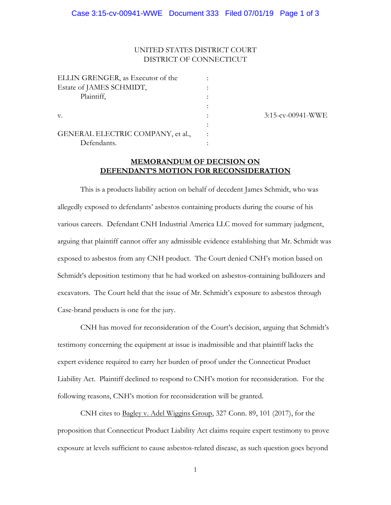## UNITED STATES DISTRICT COURT DISTRICT OF CONNECTICUT

| ELLIN GRENGER, as Executor of the |  |
|-----------------------------------|--|
| Estate of JAMES SCHMIDT,          |  |
| Plaintiff,                        |  |
|                                   |  |
| V.                                |  |
|                                   |  |
| GENERAL ELECTRIC COMPANY, et al., |  |
| Defendants.                       |  |

3:15-cv-00941-WWE

## **MEMORANDUM OF DECISION ON DEFENDANT'S MOTION FOR RECONSIDERATION**

This is a products liability action on behalf of decedent James Schmidt, who was allegedly exposed to defendants' asbestos containing products during the course of his various careers. Defendant CNH Industrial America LLC moved for summary judgment, arguing that plaintiff cannot offer any admissible evidence establishing that Mr. Schmidt was exposed to asbestos from any CNH product. The Court denied CNH's motion based on Schmidt's deposition testimony that he had worked on asbestos-containing bulldozers and excavators. The Court held that the issue of Mr. Schmidt's exposure to asbestos through Case-brand products is one for the jury.

CNH has moved for reconsideration of the Court's decision, arguing that Schmidt's testimony concerning the equipment at issue is inadmissible and that plaintiff lacks the expert evidence required to carry her burden of proof under the Connecticut Product Liability Act. Plaintiff declined to respond to CNH's motion for reconsideration. For the following reasons, CNH's motion for reconsideration will be granted.

CNH cites to Bagley v. Adel Wiggins Group, 327 Conn. 89, 101 (2017), for the proposition that Connecticut Product Liability Act claims require expert testimony to prove exposure at levels sufficient to cause asbestos-related disease, as such question goes beyond

1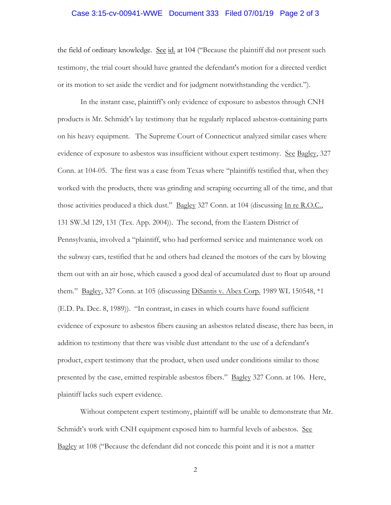#### Case 3:15-cv-00941-WWE Document 333 Filed 07/01/19 Page 2 of 3

the field of ordinary knowledge. See id. at 104 ("Because the plaintiff did not present such testimony, the trial court should have granted the defendant's motion for a directed verdict or its motion to set aside the verdict and for judgment notwithstanding the verdict.").

In the instant case, plaintiff's only evidence of exposure to asbestos through CNH products is Mr. Schmidt's lay testimony that he regularly replaced asbestos-containing parts on his heavy equipment. The Supreme Court of Connecticut analyzed similar cases where evidence of exposure to asbestos was insufficient without expert testimony. See Bagley, 327 Conn. at 104-05. The first was a case from Texas where "plaintiffs testified that, when they worked with the products, there was grinding and scraping occurring all of the time, and that those activities produced a thick dust." Bagley 327 Conn. at 104 (discussing In re R.O.C., 131 SW.3d 129, 131 (Tex. App. 2004)). The second, from the Eastern District of Pennsylvania, involved a "plaintiff, who had performed service and maintenance work on the subway cars, testified that he and others had cleaned the motors of the cars by blowing them out with an air hose, which caused a good deal of accumulated dust to float up around them." Bagley, 327 Conn. at 105 (discussing DiSantis v. Abex Corp. 1989 WL 150548,  $*1$ (E.D. Pa. Dec. 8, 1989)). "In contrast, in cases in which courts have found sufficient evidence of exposure to asbestos fibers causing an asbestos related disease, there has been, in addition to testimony that there was visible dust attendant to the use of a defendant's product, expert testimony that the product, when used under conditions similar to those presented by the case, emitted respirable asbestos fibers." Bagley 327 Conn. at 106. Here, plaintiff lacks such expert evidence.

Without competent expert testimony, plaintiff will be unable to demonstrate that Mr. Schmidt's work with CNH equipment exposed him to harmful levels of asbestos. See Bagley at 108 ("Because the defendant did not concede this point and it is not a matter

2